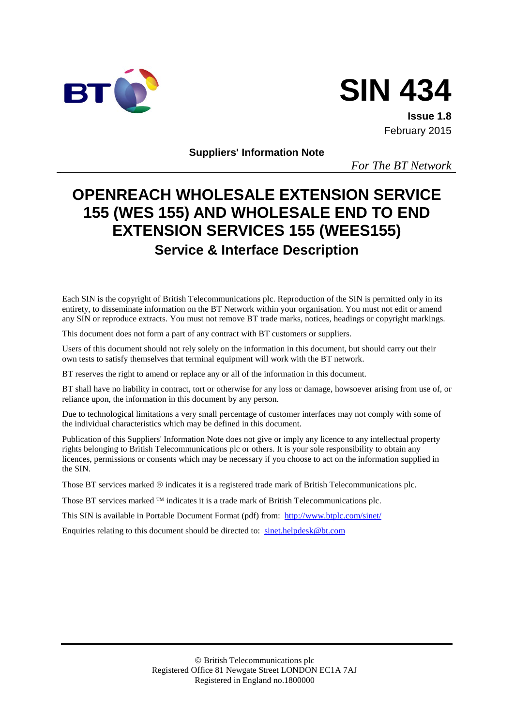

# **SIN 434**

**Issue 1.8** February 2015

**Suppliers' Information Note**

*For The BT Network*

# **OPENREACH WHOLESALE EXTENSION SERVICE 155 (WES 155) AND WHOLESALE END TO END EXTENSION SERVICES 155 (WEES155) Service & Interface Description**

Each SIN is the copyright of British Telecommunications plc. Reproduction of the SIN is permitted only in its entirety, to disseminate information on the BT Network within your organisation. You must not edit or amend any SIN or reproduce extracts. You must not remove BT trade marks, notices, headings or copyright markings.

This document does not form a part of any contract with BT customers or suppliers.

Users of this document should not rely solely on the information in this document, but should carry out their own tests to satisfy themselves that terminal equipment will work with the BT network.

BT reserves the right to amend or replace any or all of the information in this document.

BT shall have no liability in contract, tort or otherwise for any loss or damage, howsoever arising from use of, or reliance upon, the information in this document by any person.

Due to technological limitations a very small percentage of customer interfaces may not comply with some of the individual characteristics which may be defined in this document.

Publication of this Suppliers' Information Note does not give or imply any licence to any intellectual property rights belonging to British Telecommunications plc or others. It is your sole responsibility to obtain any licences, permissions or consents which may be necessary if you choose to act on the information supplied in the SIN.

Those BT services marked  $\otimes$  indicates it is a registered trade mark of British Telecommunications plc.

Those BT services marked  $TM$  indicates it is a trade mark of British Telecommunications plc.

This SIN is available in Portable Document Format (pdf) from: <http://www.btplc.com/sinet/>

Enquiries relating to this document should be directed to: [sinet.helpdesk@bt.com](mailto:sinet.helpdesk@bt.com)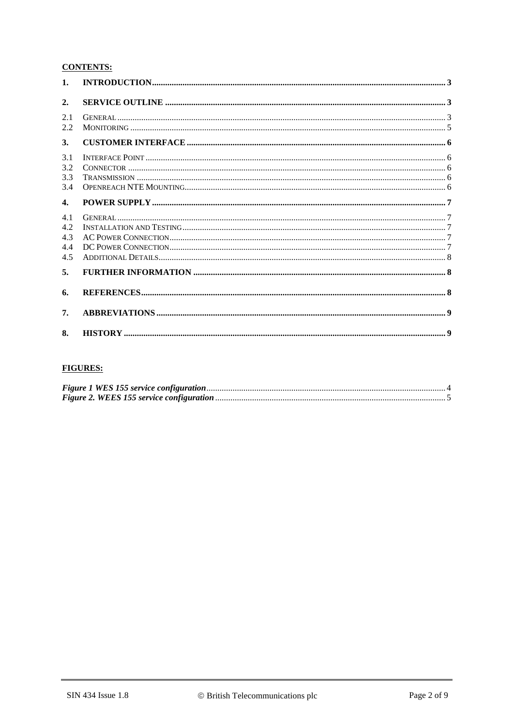#### **CONTENTS:**

| $\mathbf{1}$ .                  |  |
|---------------------------------|--|
| 2.                              |  |
| 2.1<br>2.2                      |  |
| 3.                              |  |
| 3.1<br>3.2<br>3.3<br>3.4        |  |
| $\mathbf{4}$                    |  |
| 4.1<br>4.2<br>4.3<br>4.4<br>4.5 |  |
| 5.                              |  |
| 6.                              |  |
| 7.                              |  |
| 8.                              |  |

#### **FIGURES:**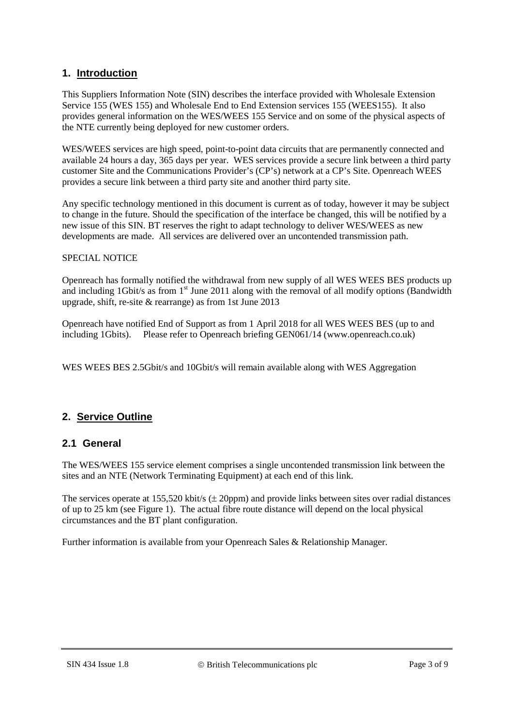#### **1. Introduction**

This Suppliers Information Note (SIN) describes the interface provided with Wholesale Extension Service 155 (WES 155) and Wholesale End to End Extension services 155 (WEES155). It also provides general information on the WES/WEES 155 Service and on some of the physical aspects of the NTE currently being deployed for new customer orders.

WES/WEES services are high speed, point-to-point data circuits that are permanently connected and available 24 hours a day, 365 days per year. WES services provide a secure link between a third party customer Site and the Communications Provider's (CP's) network at a CP's Site. Openreach WEES provides a secure link between a third party site and another third party site.

Any specific technology mentioned in this document is current as of today, however it may be subject to change in the future. Should the specification of the interface be changed, this will be notified by a new issue of this SIN. BT reserves the right to adapt technology to deliver WES/WEES as new developments are made. All services are delivered over an uncontended transmission path.

#### SPECIAL NOTICE

Openreach has formally notified the withdrawal from new supply of all WES WEES BES products up and including 1Gbit/s as from 1<sup>st</sup> June 2011 along with the removal of all modify options (Bandwidth upgrade, shift, re-site & rearrange) as from 1st June 2013

Openreach have notified End of Support as from 1 April 2018 for all WES WEES BES (up to and including 1Gbits). Please refer to Openreach briefing GEN061/14 (www.openreach.co.uk)

WES WEES BES 2.5Gbit/s and 10Gbit/s will remain available along with WES Aggregation

#### **2. Service Outline**

#### **2.1 General**

The WES/WEES 155 service element comprises a single uncontended transmission link between the sites and an NTE (Network Terminating Equipment) at each end of this link.

The services operate at  $155,520$  kbit/s ( $\pm$  20ppm) and provide links between sites over radial distances of up to 25 km (see Figure 1). The actual fibre route distance will depend on the local physical circumstances and the BT plant configuration.

Further information is available from your Openreach Sales & Relationship Manager.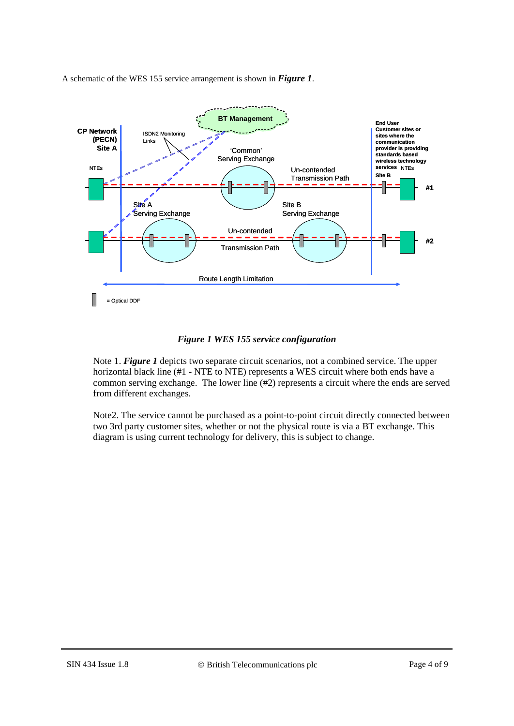A schematic of the WES 155 service arrangement is shown in *[Figure 1](#page-3-0)*.



#### *Figure 1 WES 155 service configuration*

<span id="page-3-0"></span>Note 1. *[Figure 1](#page-3-0)* depicts two separate circuit scenarios, not a combined service. The upper horizontal black line (#1 - NTE to NTE) represents a WES circuit where both ends have a common serving exchange. The lower line (#2) represents a circuit where the ends are served from different exchanges.

Note2. The service cannot be purchased as a point-to-point circuit directly connected between two 3rd party customer sites, whether or not the physical route is via a BT exchange. This diagram is using current technology for delivery, this is subject to change.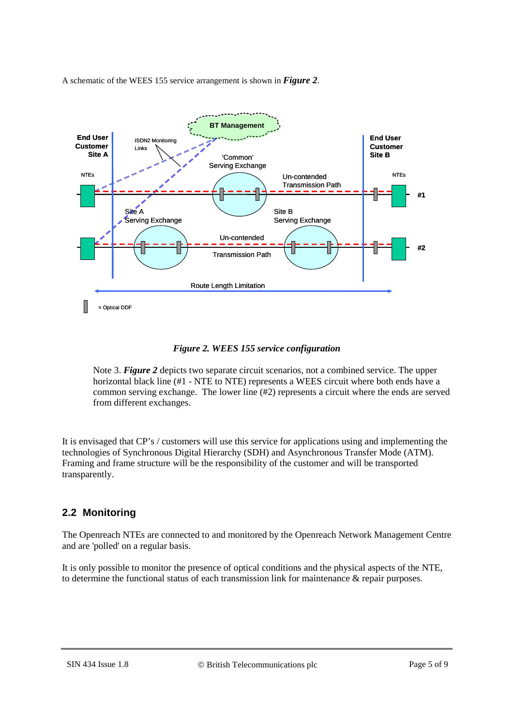A schematic of the WEES 155 service arrangement is shown in *[Figure 2](#page-4-0)*.



*Figure 2. WEES 155 service configuration*

<span id="page-4-0"></span>Note 3. *[Figure 2](#page-4-0)* depicts two separate circuit scenarios, not a combined service. The upper horizontal black line (#1 - NTE to NTE) represents a WEES circuit where both ends have a common serving exchange. The lower line (#2) represents a circuit where the ends are served from different exchanges.

It is envisaged that CP's / customers will use this service for applications using and implementing the technologies of Synchronous Digital Hierarchy (SDH) and Asynchronous Transfer Mode (ATM). Framing and frame structure will be the responsibility of the customer and will be transported transparently.

# **2.2 Monitoring**

The Openreach NTEs are connected to and monitored by the Openreach Network Management Centre and are 'polled' on a regular basis.

It is only possible to monitor the presence of optical conditions and the physical aspects of the NTE, to determine the functional status of each transmission link for maintenance  $\&$  repair purposes.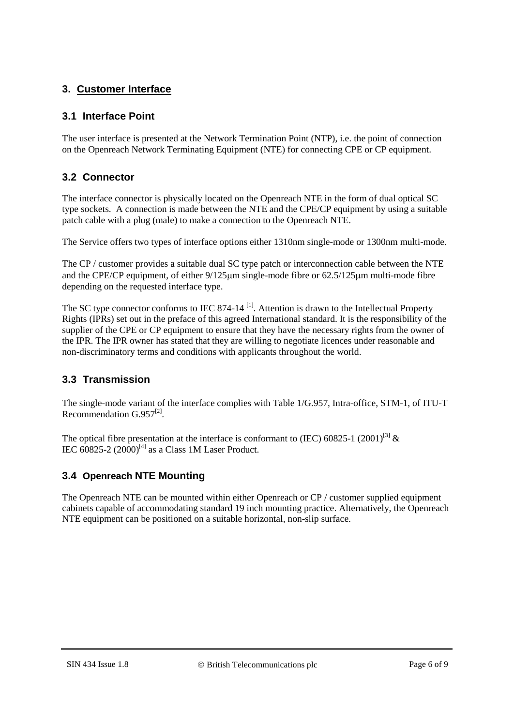# **3. Customer Interface**

### **3.1 Interface Point**

The user interface is presented at the Network Termination Point (NTP), i.e. the point of connection on the Openreach Network Terminating Equipment (NTE) for connecting CPE or CP equipment.

### **3.2 Connector**

The interface connector is physically located on the Openreach NTE in the form of dual optical SC type sockets. A connection is made between the NTE and the CPE/CP equipment by using a suitable patch cable with a plug (male) to make a connection to the Openreach NTE.

The Service offers two types of interface options either 1310nm single-mode or 1300nm multi-mode.

The CP / customer provides a suitable dual SC type patch or interconnection cable between the NTE and the CPE/CP equipment, of either 9/125µm single-mode fibre or 62.5/125µm multi-mode fibre depending on the requested interface type.

The SC type connector conforms to IEC 874-14<sup>[1]</sup>. Attention is drawn to the Intellectual Property Rights (IPRs) set out in the preface of this agreed International standard. It is the responsibility of the supplier of the CPE or CP equipment to ensure that they have the necessary rights from the owner of the IPR. The IPR owner has stated that they are willing to negotiate licences under reasonable and non-discriminatory terms and conditions with applicants throughout the world.

#### **3.3 Transmission**

The single-mode variant of the interface complies with Table 1/G.957, Intra-office, STM-1, of ITU-T Recommendation  $G.957^{[2]}$ .

The optical fibre presentation at the interface is conformant to (IEC) 60825-1 (2001)<sup>[3]</sup>  $\&$ IEC 60825-2  $(2000)^{[4]}$  as a Class 1M Laser Product.

# **3.4 Openreach NTE Mounting**

The Openreach NTE can be mounted within either Openreach or CP / customer supplied equipment cabinets capable of accommodating standard 19 inch mounting practice. Alternatively, the Openreach NTE equipment can be positioned on a suitable horizontal, non-slip surface.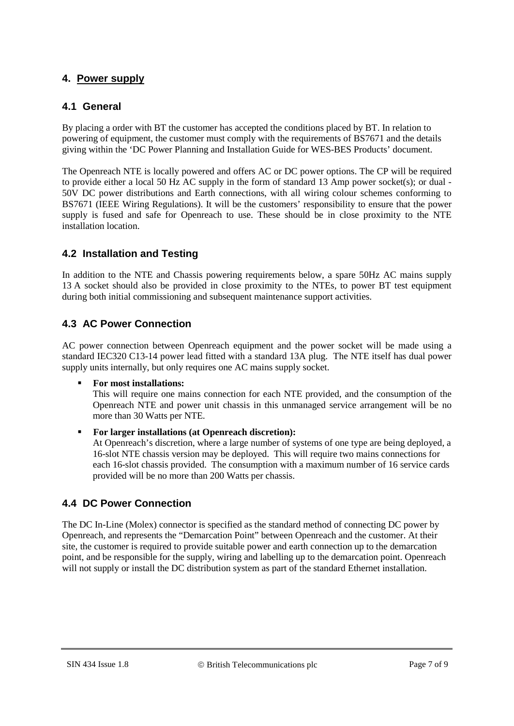# **4. Power supply**

#### **4.1 General**

By placing a order with BT the customer has accepted the conditions placed by BT. In relation to powering of equipment, the customer must comply with the requirements of BS7671 and the details giving within the 'DC Power Planning and Installation Guide for WES-BES Products' document.

The Openreach NTE is locally powered and offers AC or DC power options. The CP will be required to provide either a local 50 Hz AC supply in the form of standard 13 Amp power socket(s); or dual - 50V DC power distributions and Earth connections, with all wiring colour schemes conforming to BS7671 (IEEE Wiring Regulations). It will be the customers' responsibility to ensure that the power supply is fused and safe for Openreach to use. These should be in close proximity to the NTE installation location.

# **4.2 Installation and Testing**

In addition to the NTE and Chassis powering requirements below, a spare 50Hz AC mains supply 13 A socket should also be provided in close proximity to the NTEs, to power BT test equipment during both initial commissioning and subsequent maintenance support activities.

# **4.3 AC Power Connection**

AC power connection between Openreach equipment and the power socket will be made using a standard IEC320 C13-14 power lead fitted with a standard 13A plug. The NTE itself has dual power supply units internally, but only requires one AC mains supply socket.

#### **For most installations:**

This will require one mains connection for each NTE provided, and the consumption of the Openreach NTE and power unit chassis in this unmanaged service arrangement will be no more than 30 Watts per NTE.

#### **For larger installations (at Openreach discretion):**

At Openreach's discretion, where a large number of systems of one type are being deployed, a 16-slot NTE chassis version may be deployed. This will require two mains connections for each 16-slot chassis provided. The consumption with a maximum number of 16 service cards provided will be no more than 200 Watts per chassis.

#### **4.4 DC Power Connection**

The DC In-Line (Molex) connector is specified as the standard method of connecting DC power by Openreach, and represents the "Demarcation Point" between Openreach and the customer. At their site, the customer is required to provide suitable power and earth connection up to the demarcation point, and be responsible for the supply, wiring and labelling up to the demarcation point. Openreach will not supply or install the DC distribution system as part of the standard Ethernet installation.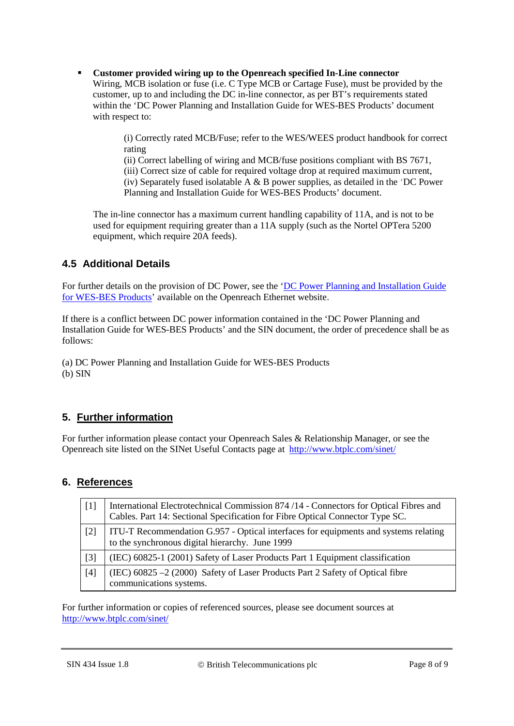**Customer provided wiring up to the Openreach specified In-Line connector** Wiring, MCB isolation or fuse (i.e. C Type MCB or Cartage Fuse), must be provided by the customer, up to and including the DC in-line connector, as per BT's requirements stated within the 'DC Power Planning and Installation Guide for WES-BES Products' document with respect to:

> (i) Correctly rated MCB/Fuse; refer to the WES/WEES product handbook for correct rating

(ii) Correct labelling of wiring and MCB/fuse positions compliant with BS 7671,

(iii) Correct size of cable for required voltage drop at required maximum current,

(iv) Separately fused isolatable A  $\&$  B power supplies, as detailed in the 'DC Power Planning and Installation Guide for WES-BES Products' document.

The in-line connector has a maximum current handling capability of 11A, and is not to be used for equipment requiring greater than a 11A supply (such as the Nortel OPTera 5200 equipment, which require 20A feeds).

# **4.5 Additional Details**

For further details on the provision of DC Power, see the 'DC Power Planning and Installation Guide [for WES-BES Products'](https://www.openreach.co.uk/orpg/home/newlogin.do?smauthreason=0&target=http%3A%2F%2Fwww.openreach.co.uk%2Forpg%2Fcustomerzone%2Fproducts%2Fethernetservices%2Fethernetaccessdirect%2Fdescription%2Fsupplementaryinformation%2Fsupplementaryinfo.do&fromMasterHead=1) available on the Openreach Ethernet website.

If there is a conflict between DC power information contained in the 'DC Power Planning and Installation Guide for WES-BES Products' and the SIN document, the order of precedence shall be as follows:

(a) DC Power Planning and Installation Guide for WES-BES Products (b) SIN

# **5. Further information**

For further information please contact your Openreach Sales & Relationship Manager, or see the Openreach site listed on the SINet Useful Contacts page at<http://www.btplc.com/sinet/>

# **6. References**

| $\lceil 1 \rceil$ | International Electrotechnical Commission 874 /14 - Connectors for Optical Fibres and<br>Cables. Part 14: Sectional Specification for Fibre Optical Connector Type SC. |
|-------------------|------------------------------------------------------------------------------------------------------------------------------------------------------------------------|
| $[2]$             | ITU-T Recommendation G.957 - Optical interfaces for equipments and systems relating<br>to the synchronous digital hierarchy. June 1999                                 |
| $[3]$             | (IEC) 60825-1 (2001) Safety of Laser Products Part 1 Equipment classification                                                                                          |
| $[4]$             | (IEC) $60825 - 2(2000)$ Safety of Laser Products Part 2 Safety of Optical fibre<br>communications systems.                                                             |

For further information or copies of referenced sources, please see document sources at <http://www.btplc.com/sinet/>